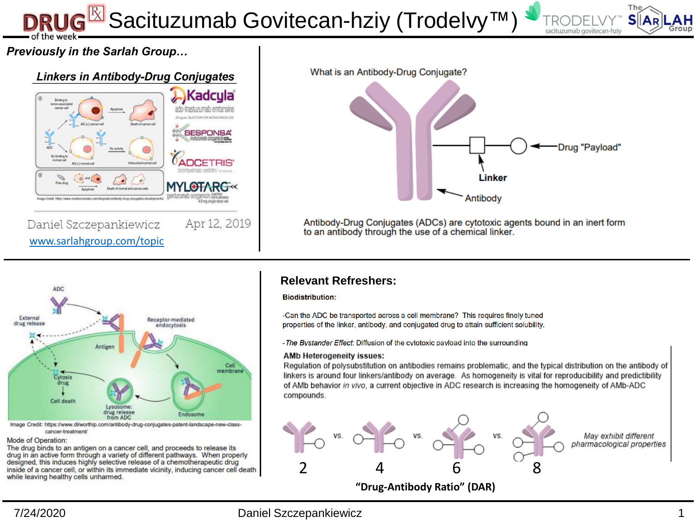<sup>k</sup> Sacituzumab Govitecan-hziy (Trodelvy™)



## *Previously in the Sarlah Group…*





Antibody-Drug Conjugates (ADCs) are cytotoxic agents bound in an inert form to an antibody through the use of a chemical linker.



Image Credit: https://www.dilworthip.com/antibody-drug-conjugates-patent-landscape-new-classcancer-treatment/

#### Mode of Operation:

The drug binds to an antigen on a cancer cell, and proceeds to release its drug in an active form through a variety of different pathways. When properly designed, this induces highly selective release of a chemotherapeutic drug inside of a cancer cell, or within its immediate vicinity, inducing cancer cell death while leaving healthy cells unharmed.

#### **Relevant Refreshers:**

#### **Biodistribution:**

-Can the ADC be transported across a cell membrane? This requires finely tuned properties of the linker, antibody, and conjugated drug to attain sufficient solubility.

- The Bystander Effect: Diffusion of the cytotoxic payload into the surrounding

#### AMb Heterogeneity issues:

Regulation of polysubstitution on antibodies remains problematic, and the typical distribution on the antibody of linkers is around four linkers/antibody on average. As homogeneity is vital for reproducibility and predictibility of AMb behavior in vivo, a current objective in ADC research is increasing the homogeneity of AMb-ADC compounds.



7/24/2020 Daniel Szczepankiewicz 1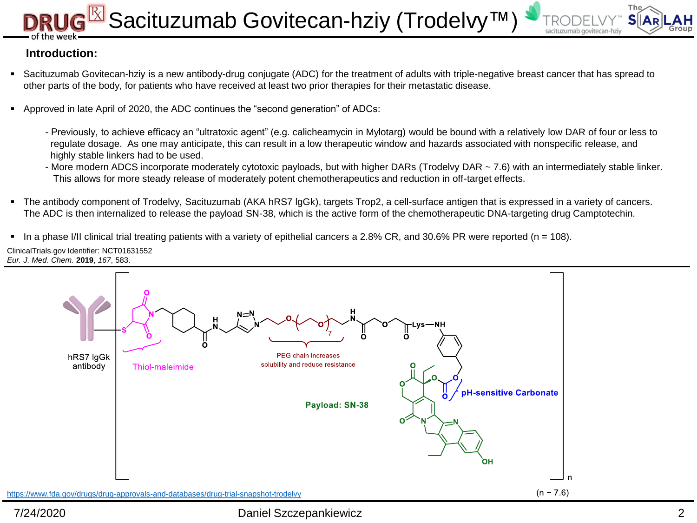# Sacituzumab Govitecan-hziy (Trodelvy<sup>™</sup>



### **Introduction:**

- Sacituzumab Govitecan-hziy is a new antibody-drug conjugate (ADC) for the treatment of adults with triple-negative breast cancer that has spread to other parts of the body, for patients who have received at least two prior therapies for their metastatic disease.
- Approved in late April of 2020, the ADC continues the "second generation" of ADCs:
	- Previously, to achieve efficacy an "ultratoxic agent" (e.g. calicheamycin in Mylotarg) would be bound with a relatively low DAR of four or less to regulate dosage. As one may anticipate, this can result in a low therapeutic window and hazards associated with nonspecific release, and highly stable linkers had to be used.
	- More modern ADCS incorporate moderately cytotoxic payloads, but with higher DARs (Trodelvy DAR ~ 7.6) with an intermediately stable linker. This allows for more steady release of moderately potent chemotherapeutics and reduction in off-target effects.
- The antibody component of Trodelvy, Sacituzumab (AKA hRS7 lgGk), targets Trop2, a cell-surface antigen that is expressed in a variety of cancers. The ADC is then internalized to release the payload SN-38, which is the active form of the chemotherapeutic DNA-targeting drug Camptotechin.
- $\blacksquare$  In a phase I/II clinical trial treating patients with a variety of epithelial cancers a 2.8% CR, and 30.6% PR were reported (n = 108).

ClinicalTrials.gov Identifier: NCT01631552 *Eur. J. Med. Chem.* **2019**, *167*, 583.

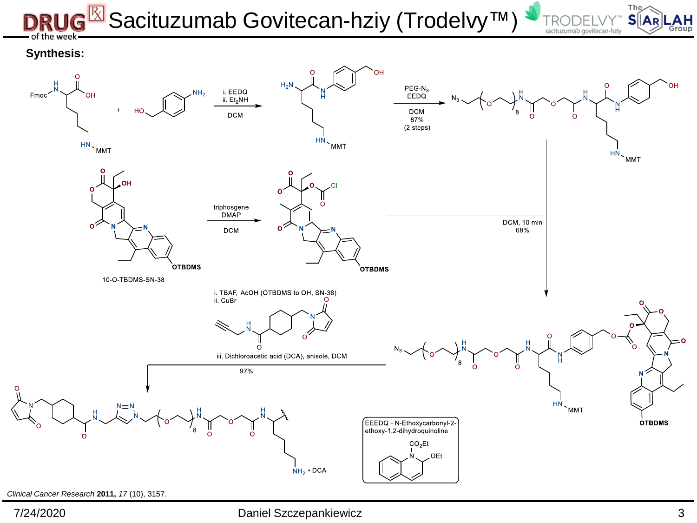# $\overline{\mathbb{R}}$  Sacituzumab Govitecan-hziy (Trodelvy™) ie week



### **Synthesis:**



*Clinical Cancer Research* **2011,** *17* (10), 3157.

7/24/2020 Daniel Szczepankiewicz